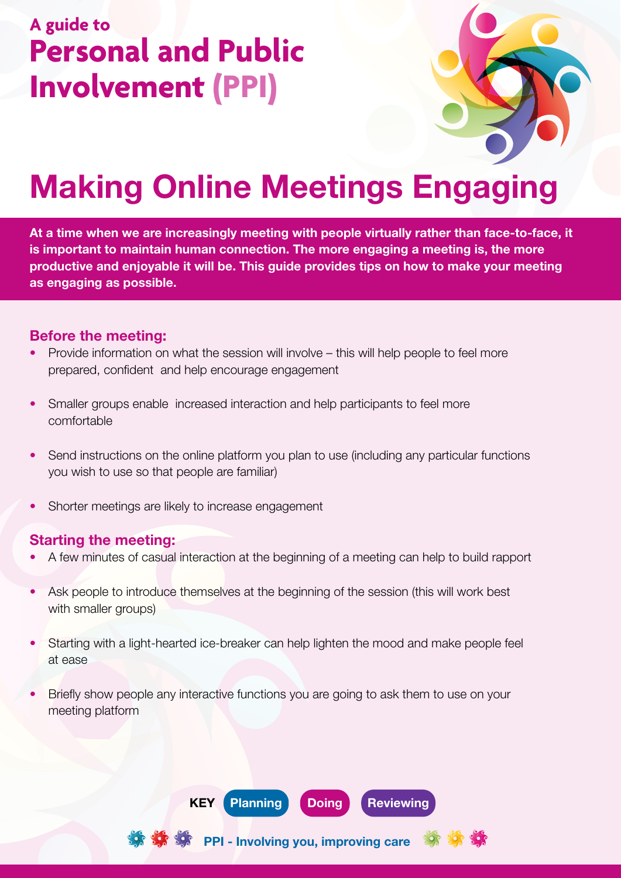## **A guide to Personal and Public Involvement (PPI)**



# Making Online Meetings Engaging

At a time when we are increasingly meeting with people virtually rather than face-to-face, it is important to maintain human connection. The more engaging a meeting is, the more productive and enjoyable it will be. This guide provides tips on how to make your meeting as engaging as possible.

#### Before the meeting:

- Provide information on what the session will involve this will help people to feel more prepared, confident and help encourage engagement
- Smaller groups enable increased interaction and help participants to feel more comfortable
- Send instructions on the online platform you plan to use (including any particular functions you wish to use so that people are familiar)
- Shorter meetings are likely to increase engagement

#### Starting the meeting:

- A few minutes of casual interaction at the beginning of a meeting can help to build rapport
- Ask people to introduce themselves at the beginning of the session (this will work best with smaller groups)
- Starting with a light-hearted ice-breaker can help lighten the mood and make people feel at ease
- Briefly show people any interactive functions you are going to ask them to use on your meeting platform